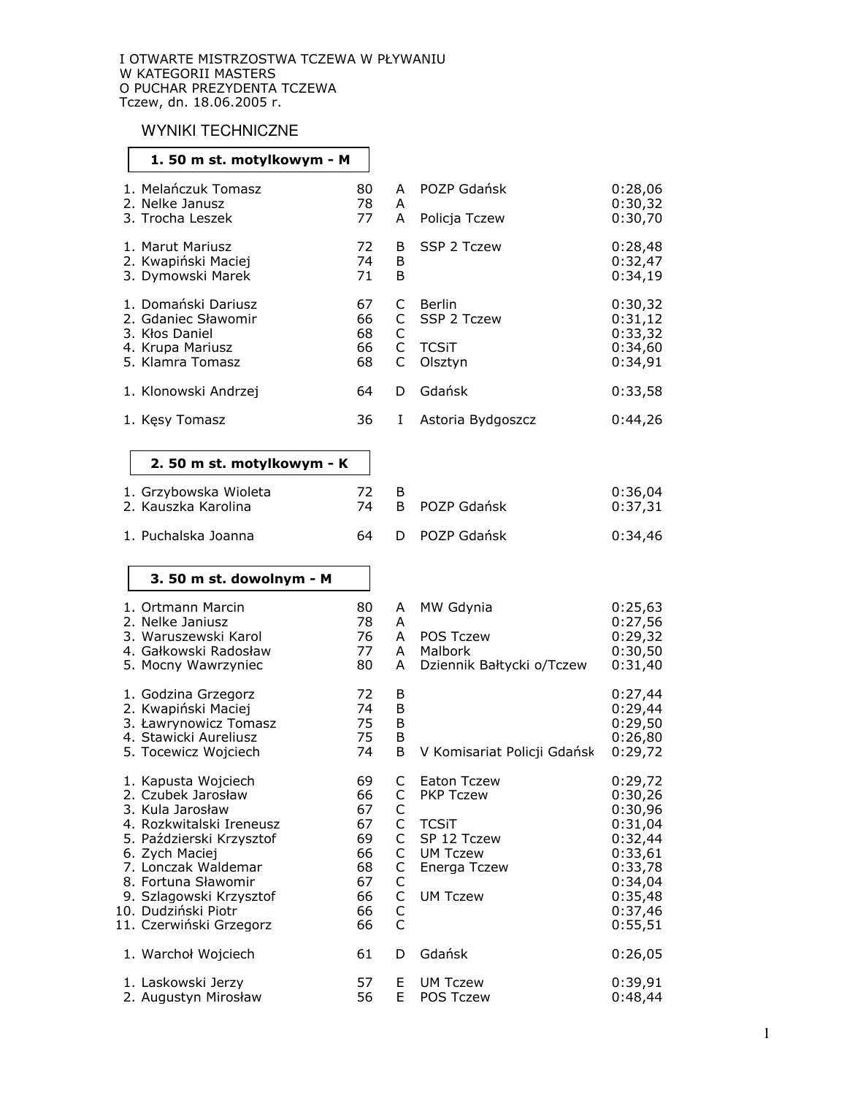## **WYNIKI TECHNICZNE**

### 1.50 m st. motylkowym - M

| 1. Melańczuk Tomasz<br>2. Nelke Janusz<br>3. Trocha Leszek                                           | 80<br>78<br>77             | A<br>Α<br>Α | POZP Gdańsk<br>Policja Tczew                     | 0:28.06<br>0:30,32<br>0:30,70                       |
|------------------------------------------------------------------------------------------------------|----------------------------|-------------|--------------------------------------------------|-----------------------------------------------------|
| 1. Marut Mariusz<br>2. Kwapiński Maciej<br>3. Dymowski Marek                                         | 72<br>74<br>71             | B<br>B<br>B | SSP 2 Tczew                                      | 0:28,48<br>0:32.47<br>0:34,19                       |
| 1. Domański Dariusz<br>2. Gdaniec Sławomir<br>3. Kłos Daniel<br>4. Krupa Mariusz<br>5. Klamra Tomasz | 67<br>66<br>68<br>66<br>68 | C<br>C<br>C | Berlin<br>SSP 2 Tczew<br><b>TCSIT</b><br>Olsztvn | 0:30,32<br>0:31,12<br>0:33,32<br>0:34,60<br>0:34,91 |
| 1. Klonowski Andrzei                                                                                 | 64                         | D           | Gdańsk                                           | 0:33,58                                             |
| 1. Kesy Tomasz                                                                                       | 36                         |             | Astoria Bydgoszcz                                | 0:44.26                                             |

### 2. 50 m st. motylkowym - K  $\parallel$

| 1. Grzybowska Wioleta<br>2. Kauszka Karolina | $\sqrt{2}$ | B POZP Gdańsk | 0:36.04<br>0:37,31 |
|----------------------------------------------|------------|---------------|--------------------|
| 1. Puchalska Joanna                          | 64.        | D POZP Gdańsk | 0:34.46            |

#### 3. 50 m st. dowolnym - M

| 1. Ortmann Marcin<br>2. Nelke Janiusz<br>3. Waruszewski Karol<br>4. Gałkowski Radosław<br>5. Mocny Wawrzyniec                                                                                                                                                      | 80<br>78<br>76<br>77<br>80                                     | A<br>A<br>A<br>A<br>A                               | MW Gdynia<br>POS Tczew<br>Malbork<br>Dziennik Bałtycki o/Tczew                                                       | 0:25,63<br>0:27,56<br>0:29,32<br>0:30,50<br>0:31,40                                                                   |
|--------------------------------------------------------------------------------------------------------------------------------------------------------------------------------------------------------------------------------------------------------------------|----------------------------------------------------------------|-----------------------------------------------------|----------------------------------------------------------------------------------------------------------------------|-----------------------------------------------------------------------------------------------------------------------|
| 1. Godzina Grzegorz<br>2. Kwapiński Maciej<br>3. Ławrynowicz Tomasz<br>4. Stawicki Aureliusz<br>5. Tocewicz Wojciech                                                                                                                                               | 72<br>74<br>75<br>75<br>74                                     | B<br>B<br>B<br>B<br>B                               | V Komisariat Policji Gdańsk                                                                                          | 0:27,44<br>0:29,44<br>0:29,50<br>0:26,80<br>0:29,72                                                                   |
| 1. Kapusta Wojciech<br>2. Czubek Jarosław<br>3. Kula Jarosław<br>4. Rozkwitalski Ireneusz<br>5. Paździerski Krzysztof<br>6. Zych Maciej<br>7. Lonczak Waldemar<br>8. Fortuna Sławomir<br>9. Szlagowski Krzysztof<br>10. Dudziński Piotr<br>11. Czerwiński Grzegorz | 69<br>66<br>67<br>67<br>69<br>66<br>68<br>67<br>66<br>66<br>66 | C<br>C<br>C<br>C<br>C<br>C<br>С<br>C<br>C<br>C<br>C | Eaton Tczew<br><b>PKP Tczew</b><br><b>TCSIT</b><br>SP 12 Tczew<br><b>UM Tczew</b><br>Energa Tczew<br><b>UM Tczew</b> | 0:29,72<br>0:30,26<br>0:30,96<br>0:31,04<br>0:32,44<br>0:33,61<br>0:33,78<br>0:34,04<br>0:35,48<br>0:37,46<br>0:55,51 |
| 1. Warchoł Wojciech                                                                                                                                                                                                                                                | 61                                                             | D                                                   | Gdańsk                                                                                                               | 0:26,05                                                                                                               |
| 1. Laskowski Jerzy<br>2. Augustyn Mirosław                                                                                                                                                                                                                         | 57<br>56                                                       | Е<br>E                                              | <b>UM Tczew</b><br><b>POS Tczew</b>                                                                                  | 0:39,91<br>0:48,44                                                                                                    |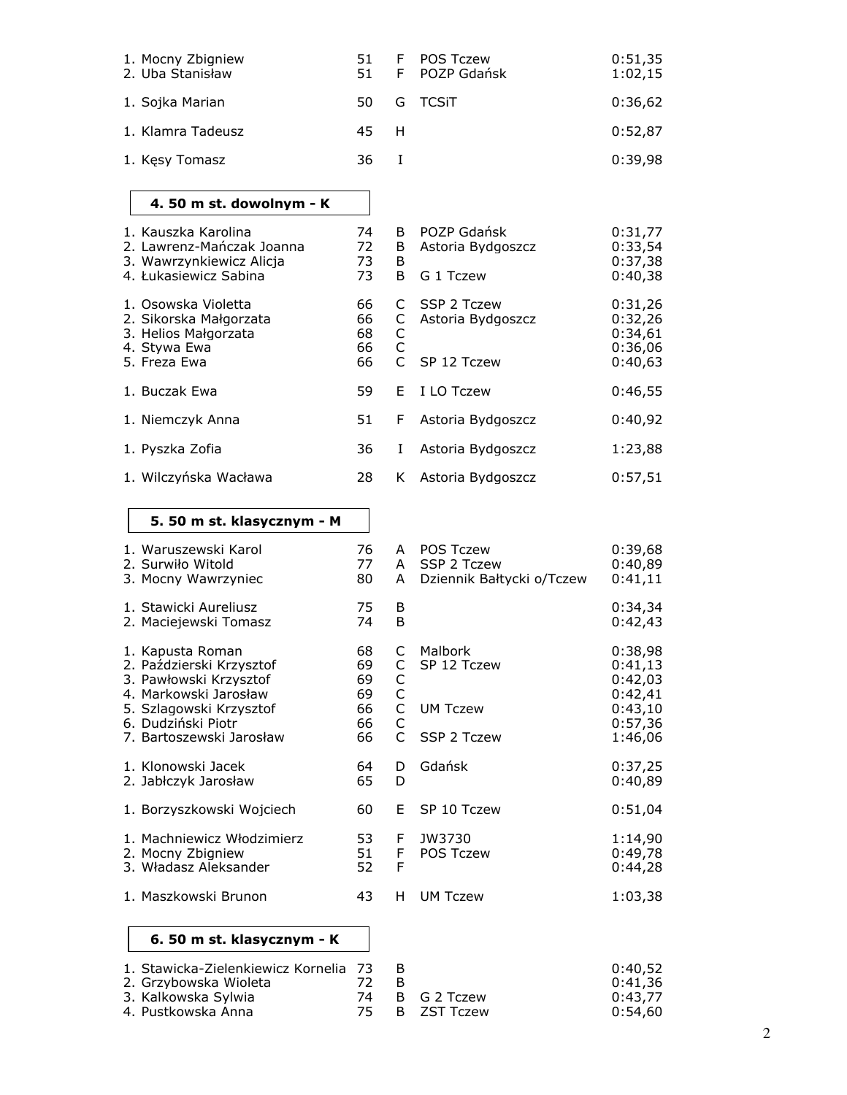| 1. Mocny Zbigniew<br>2. Uba Stanisław                                                                 | 51<br>51                   | F<br>F                                     | <b>POS Tczew</b><br>POZP Gdańsk                 | 0:51,35<br>1:02,15                                  |
|-------------------------------------------------------------------------------------------------------|----------------------------|--------------------------------------------|-------------------------------------------------|-----------------------------------------------------|
| 1. Sojka Marian                                                                                       | 50                         | G                                          | <b>TCSiT</b>                                    | 0:36,62                                             |
| 1. Klamra Tadeusz                                                                                     | 45                         | H                                          |                                                 | 0:52,87                                             |
| 1. Kesy Tomasz                                                                                        | 36                         | $\mathbf I$                                |                                                 | 0:39,98                                             |
| 4. 50 m st. dowolnym - K                                                                              |                            |                                            |                                                 |                                                     |
| 1. Kauszka Karolina<br>2. Lawrenz-Mańczak Joanna<br>3. Wawrzynkiewicz Alicja                          | 74<br>72<br>73             | B<br>B<br>B                                | POZP Gdańsk<br>Astoria Bydgoszcz                | 0:31,77<br>0:33,54<br>0:37,38                       |
| 4. Łukasiewicz Sabina                                                                                 | 73                         | B                                          | G 1 Tczew                                       | 0:40,38                                             |
| 1. Osowska Violetta<br>2. Sikorska Małgorzata<br>3. Helios Małgorzata<br>4. Stywa Ewa<br>5. Freza Ewa | 66<br>66<br>68<br>66<br>66 | C<br>С<br>$\mathsf C$<br>$\mathsf{C}$<br>C | SSP 2 Tczew<br>Astoria Bydgoszcz<br>SP 12 Tczew | 0:31,26<br>0:32,26<br>0:34,61<br>0:36,06<br>0:40,63 |
|                                                                                                       |                            |                                            |                                                 |                                                     |
| 1. Buczak Ewa                                                                                         | 59                         | Е                                          | I LO Tczew                                      | 0:46,55                                             |
| 1. Niemczyk Anna                                                                                      | 51                         | F                                          | Astoria Bydgoszcz                               | 0:40,92                                             |
| 1. Pyszka Zofia                                                                                       | 36                         | I                                          | Astoria Bydgoszcz                               | 1:23,88                                             |
| 1. Wilczyńska Wacława                                                                                 | 28                         | K                                          | Astoria Bydgoszcz                               | 0:57,51                                             |
| 5. 50 m st. klasycznym - M                                                                            |                            |                                            |                                                 |                                                     |

# 5. 50 m st. klasycznym - M

| 1. Waruszewski Karol<br>2. Surwiło Witold<br>3. Mocny Wawrzyniec                                                                                                             | 76<br>77<br>80                         | A<br>A<br>A                     | <b>POS Tczew</b><br>SSP 2 Tczew<br>Dziennik Bałtycki o/Tczew | 0:39,68<br>0:40,89<br>0:41,11                                             |
|------------------------------------------------------------------------------------------------------------------------------------------------------------------------------|----------------------------------------|---------------------------------|--------------------------------------------------------------|---------------------------------------------------------------------------|
| 1. Stawicki Aureliusz<br>2. Maciejewski Tomasz                                                                                                                               | 75<br>74                               | B<br>B                          |                                                              | 0:34,34<br>0:42,43                                                        |
| 1. Kapusta Roman<br>2. Paździerski Krzysztof<br>3. Pawłowski Krzysztof<br>4. Markowski Jarosław<br>5. Szlagowski Krzysztof<br>6. Dudziński Piotr<br>7. Bartoszewski Jarosław | 68<br>69<br>69<br>69<br>66<br>66<br>66 | C<br>C<br>C<br>C<br>C<br>C<br>Ċ | Malbork<br>SP 12 Tczew<br><b>UM Tczew</b><br>SSP 2 Tczew     | 0:38,98<br>0:41,13<br>0:42,03<br>0:42,41<br>0:43,10<br>0:57,36<br>1:46,06 |
| 1. Klonowski Jacek<br>2. Jabłczyk Jarosław                                                                                                                                   | 64<br>65                               | D.<br>D                         | Gdańsk                                                       | 0:37,25<br>0:40,89                                                        |
| 1. Borzyszkowski Wojciech                                                                                                                                                    | 60                                     | F.                              | SP 10 Tczew                                                  | 0:51,04                                                                   |
| 1. Machniewicz Włodzimierz<br>2. Mocny Zbigniew<br>3. Władasz Aleksander                                                                                                     | 53<br>51<br>52                         | F.<br>F.<br>F                   | JW3730<br><b>POS Tczew</b>                                   | 1:14,90<br>0:49,78<br>0:44,28                                             |
| 1. Maszkowski Brunon                                                                                                                                                         | 43                                     | H                               | <b>UM Tczew</b>                                              | 1:03,38                                                                   |
| 6. 50 m st. klasycznym - K                                                                                                                                                   |                                        |                                 |                                                              |                                                                           |

| 1. Stawicka-Zielenkiewicz Kornelia 73 |    |                | 0:40.52 |
|---------------------------------------|----|----------------|---------|
| 2. Grzybowska Wioleta                 |    |                | 0:41.36 |
| 3. Kalkowska Sylwia                   |    | 74 B G 2 Tczew | 0:43.77 |
| 4. Pustkowska Anna                    | 75 | B ZST Tczew    | 0:54.60 |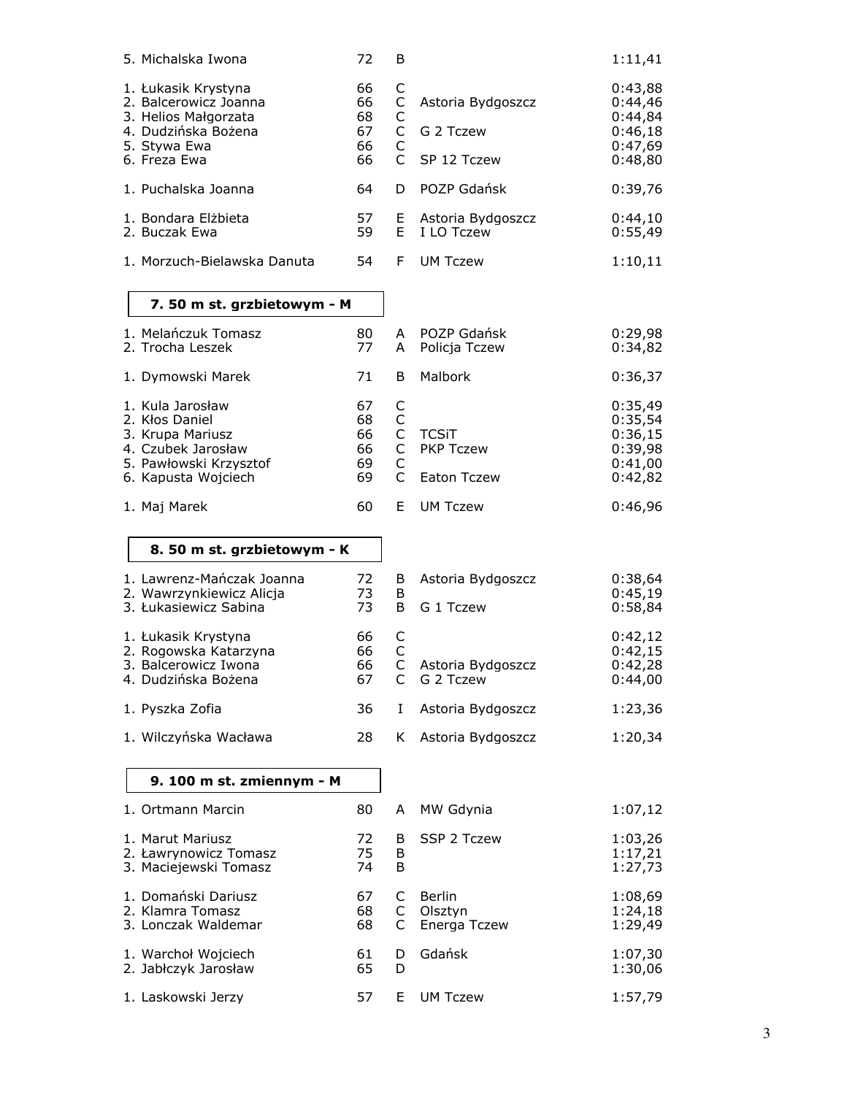| 5. Michalska Iwona                                                                                                            | 72                               | B                                                  |                                                 | 1:11,41                                                        |
|-------------------------------------------------------------------------------------------------------------------------------|----------------------------------|----------------------------------------------------|-------------------------------------------------|----------------------------------------------------------------|
| 1. Łukasik Krystyna<br>2. Balcerowicz Joanna<br>3. Helios Małgorzata<br>4. Dudzińska Bożena<br>5. Stywa Ewa<br>6. Freza Ewa   | 66<br>66<br>68<br>67<br>66<br>66 | C<br>C<br>С<br>C<br>C<br>C                         | Astoria Bydgoszcz<br>G 2 Tczew<br>SP 12 Tczew   | 0:43,88<br>0:44,46<br>0:44,84<br>0:46,18<br>0:47,69<br>0:48,80 |
| 1. Puchalska Joanna                                                                                                           | 64                               | D                                                  | POZP Gdańsk                                     | 0:39,76                                                        |
| 1. Bondara Elżbieta<br>2. Buczak Ewa                                                                                          | 57<br>59                         | E<br>E.                                            | Astoria Bydgoszcz<br>I LO Tczew                 | 0:44,10<br>0:55,49                                             |
| 1. Morzuch-Bielawska Danuta                                                                                                   | 54                               | F                                                  | <b>UM Tczew</b>                                 | 1:10,11                                                        |
| 7. 50 m st. grzbietowym - M                                                                                                   |                                  |                                                    |                                                 |                                                                |
| 1. Melańczuk Tomasz<br>2. Trocha Leszek                                                                                       | 80<br>77                         | A<br>A                                             | POZP Gdańsk<br>Policja Tczew                    | 0:29,98<br>0:34,82                                             |
| 1. Dymowski Marek                                                                                                             | 71                               | B                                                  | Malbork                                         | 0:36,37                                                        |
| 1. Kula Jarosław<br>2. Kłos Daniel<br>3. Krupa Mariusz<br>4. Czubek Jarosław<br>5. Pawłowski Krzysztof<br>6. Kapusta Wojciech | 67<br>68<br>66<br>66<br>69<br>69 | C<br>C<br>$\mathsf{C}^-$<br>C<br>C<br>$\mathsf{C}$ | <b>TCSiT</b><br><b>PKP Tczew</b><br>Eaton Tczew | 0:35,49<br>0:35,54<br>0:36,15<br>0:39,98<br>0:41,00<br>0:42,82 |
| 1. Maj Marek                                                                                                                  | 60                               | E.                                                 | <b>UM Tczew</b>                                 | 0:46,96                                                        |
| 8. 50 m st. grzbietowym - K                                                                                                   |                                  |                                                    |                                                 |                                                                |
| 1. Lawrenz-Mańczak Joanna<br>2. Wawrzynkiewicz Alicja<br>3. Łukasiewicz Sabina                                                | 72<br>73<br>73                   | B<br>B<br>B                                        | Astoria Bydgoszcz<br>G 1 Tczew                  | 0:38,64<br>0:45,19<br>0:58,84                                  |
| 1. Łukasik Krystyna<br>2. Rogowska Katarzyna<br>3. Balcerowicz Iwona<br>4. Dudzińska Bożena                                   | 66<br>66<br>66<br>67             | С<br>C<br>C<br>C                                   | Astoria Bydgoszcz<br>G 2 Tczew                  | 0:42,12<br>0:42,15<br>0:42,28<br>0:44,00                       |
| 1. Pyszka Zofia                                                                                                               | 36                               | L                                                  | Astoria Bydgoszcz                               | 1:23,36                                                        |
| 1. Wilczyńska Wacława                                                                                                         | 28                               | K.                                                 | Astoria Bydgoszcz                               | 1:20,34                                                        |
| 9. 100 m st. zmiennym - M                                                                                                     |                                  |                                                    |                                                 |                                                                |
| 1. Ortmann Marcin                                                                                                             | 80                               | A                                                  | MW Gdynia                                       | 1:07,12                                                        |
| 1. Marut Mariusz<br>2. Ławrynowicz Tomasz<br>3. Maciejewski Tomasz                                                            | 72<br>75<br>74                   | B<br>B<br>B                                        | SSP 2 Tczew                                     | 1:03,26<br>1:17,21<br>1:27,73                                  |
| 1. Domański Dariusz<br>2. Klamra Tomasz<br>3. Lonczak Waldemar                                                                | 67<br>68<br>68                   | C<br>$\mathsf{C}$<br>C                             | <b>Berlin</b><br>Olsztyn<br>Energa Tczew        | 1:08,69<br>1:24,18<br>1:29,49                                  |
| 1. Warchoł Wojciech<br>2. Jabłczyk Jarosław                                                                                   | 61<br>65                         | D<br>D                                             | Gdańsk                                          | 1:07,30<br>1:30,06                                             |
| 1. Laskowski Jerzy                                                                                                            | 57                               | E.                                                 | <b>UM Tczew</b>                                 | 1:57,79                                                        |